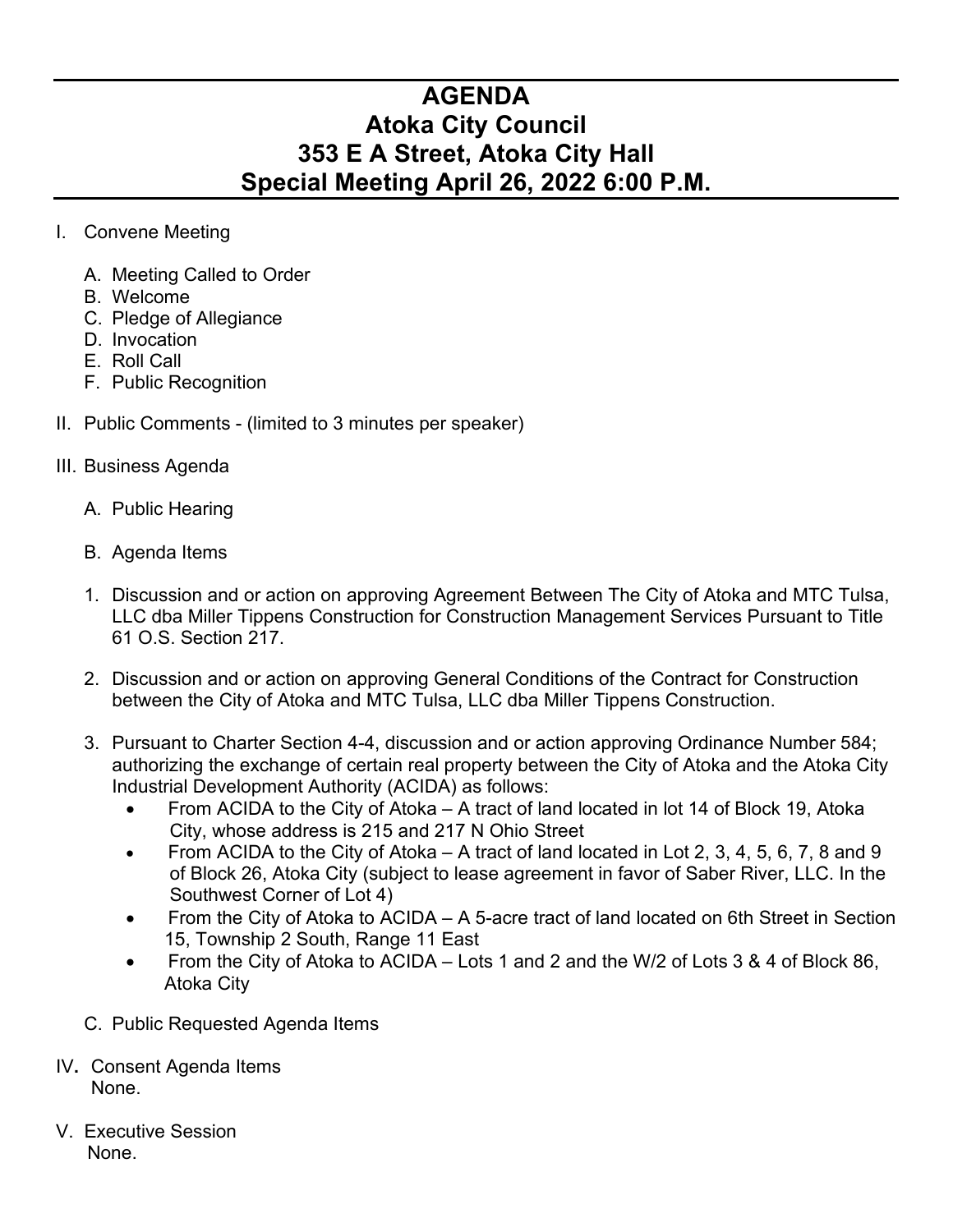## **AGENDA Atoka City Council 353 E A Street, Atoka City Hall Special Meeting April 26, 2022 6:00 P.M.**

- I. Convene Meeting
	- A. Meeting Called to Order
	- B. Welcome
	- C. Pledge of Allegiance
	- D. Invocation
	- E. Roll Call
	- F. Public Recognition
- II. Public Comments (limited to 3 minutes per speaker)
- III. Business Agenda
	- A. Public Hearing
	- B. Agenda Items
	- 1. Discussion and or action on approving Agreement Between The City of Atoka and MTC Tulsa, LLC dba Miller Tippens Construction for Construction Management Services Pursuant to Title 61 O.S. Section 217.
	- 2. Discussion and or action on approving General Conditions of the Contract for Construction between the City of Atoka and MTC Tulsa, LLC dba Miller Tippens Construction.
	- 3. Pursuant to Charter Section 4-4, discussion and or action approving Ordinance Number 584; authorizing the exchange of certain real property between the City of Atoka and the Atoka City Industrial Development Authority (ACIDA) as follows:
		- From ACIDA to the City of Atoka A tract of land located in lot 14 of Block 19, Atoka City, whose address is 215 and 217 N Ohio Street
		- From ACIDA to the City of Atoka A tract of land located in Lot 2, 3, 4, 5, 6, 7, 8 and 9 of Block 26, Atoka City (subject to lease agreement in favor of Saber River, LLC. In the Southwest Corner of Lot 4)
		- From the City of Atoka to ACIDA A 5-acre tract of land located on 6th Street in Section 15, Township 2 South, Range 11 East
		- From the City of Atoka to ACIDA Lots 1 and 2 and the W/2 of Lots 3 & 4 of Block 86, Atoka City
	- C. Public Requested Agenda Items
- IV**.** Consent Agenda Items None.
- V. Executive Session None.